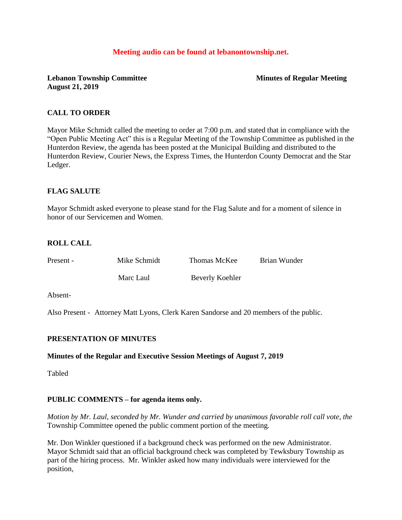# **Meeting audio can be found at lebanontownship.net.**

**Lebanon Township Committee Minutes of Regular Meeting August 21, 2019**

### **CALL TO ORDER**

Mayor Mike Schmidt called the meeting to order at 7:00 p.m. and stated that in compliance with the "Open Public Meeting Act" this is a Regular Meeting of the Township Committee as published in the Hunterdon Review, the agenda has been posted at the Municipal Building and distributed to the Hunterdon Review, Courier News, the Express Times, the Hunterdon County Democrat and the Star Ledger.

### **FLAG SALUTE**

Mayor Schmidt asked everyone to please stand for the Flag Salute and for a moment of silence in honor of our Servicemen and Women.

### **ROLL CALL**

| Present - | Mike Schmidt | Thomas McKee    | Brian Wunder |
|-----------|--------------|-----------------|--------------|
|           | Marc Laul    | Beverly Koehler |              |

Absent-

Also Present - Attorney Matt Lyons, Clerk Karen Sandorse and 20 members of the public.

### **PRESENTATION OF MINUTES**

#### **Minutes of the Regular and Executive Session Meetings of August 7, 2019**

Tabled

### **PUBLIC COMMENTS – for agenda items only.**

*Motion by Mr. Laul, seconded by Mr. Wunder and carried by unanimous favorable roll call vote, the* Township Committee opened the public comment portion of the meeting.

Mr. Don Winkler questioned if a background check was performed on the new Administrator. Mayor Schmidt said that an official background check was completed by Tewksbury Township as part of the hiring process. Mr. Winkler asked how many individuals were interviewed for the position,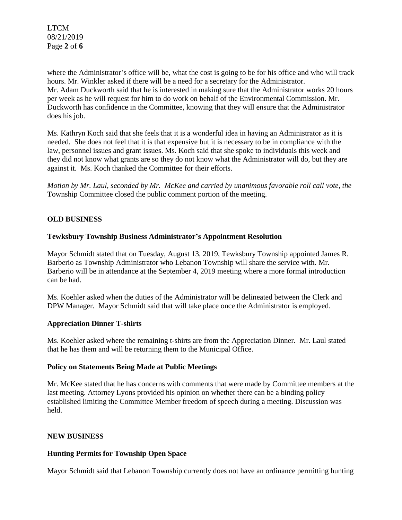LTCM 08/21/2019 Page **2** of **6**

where the Administrator's office will be, what the cost is going to be for his office and who will track hours. Mr. Winkler asked if there will be a need for a secretary for the Administrator. Mr. Adam Duckworth said that he is interested in making sure that the Administrator works 20 hours per week as he will request for him to do work on behalf of the Environmental Commission. Mr. Duckworth has confidence in the Committee, knowing that they will ensure that the Administrator does his job.

Ms. Kathryn Koch said that she feels that it is a wonderful idea in having an Administrator as it is needed. She does not feel that it is that expensive but it is necessary to be in compliance with the law, personnel issues and grant issues. Ms. Koch said that she spoke to individuals this week and they did not know what grants are so they do not know what the Administrator will do, but they are against it. Ms. Koch thanked the Committee for their efforts.

*Motion by Mr. Laul, seconded by Mr. McKee and carried by unanimous favorable roll call vote, the* Township Committee closed the public comment portion of the meeting.

# **OLD BUSINESS**

## **Tewksbury Township Business Administrator's Appointment Resolution**

Mayor Schmidt stated that on Tuesday, August 13, 2019, Tewksbury Township appointed James R. Barberio as Township Administrator who Lebanon Township will share the service with. Mr. Barberio will be in attendance at the September 4, 2019 meeting where a more formal introduction can be had.

Ms. Koehler asked when the duties of the Administrator will be delineated between the Clerk and DPW Manager. Mayor Schmidt said that will take place once the Administrator is employed.

## **Appreciation Dinner T-shirts**

Ms. Koehler asked where the remaining t-shirts are from the Appreciation Dinner. Mr. Laul stated that he has them and will be returning them to the Municipal Office.

### **Policy on Statements Being Made at Public Meetings**

Mr. McKee stated that he has concerns with comments that were made by Committee members at the last meeting. Attorney Lyons provided his opinion on whether there can be a binding policy established limiting the Committee Member freedom of speech during a meeting. Discussion was held.

## **NEW BUSINESS**

## **Hunting Permits for Township Open Space**

Mayor Schmidt said that Lebanon Township currently does not have an ordinance permitting hunting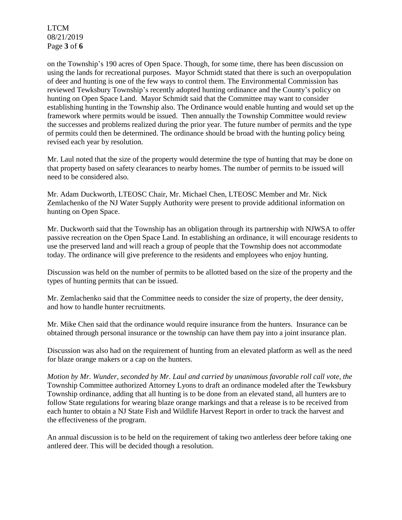LTCM 08/21/2019 Page **3** of **6**

on the Township's 190 acres of Open Space. Though, for some time, there has been discussion on using the lands for recreational purposes. Mayor Schmidt stated that there is such an overpopulation of deer and hunting is one of the few ways to control them. The Environmental Commission has reviewed Tewksbury Township's recently adopted hunting ordinance and the County's policy on hunting on Open Space Land. Mayor Schmidt said that the Committee may want to consider establishing hunting in the Township also. The Ordinance would enable hunting and would set up the framework where permits would be issued. Then annually the Township Committee would review the successes and problems realized during the prior year. The future number of permits and the type of permits could then be determined. The ordinance should be broad with the hunting policy being revised each year by resolution.

Mr. Laul noted that the size of the property would determine the type of hunting that may be done on that property based on safety clearances to nearby homes. The number of permits to be issued will need to be considered also.

Mr. Adam Duckworth, LTEOSC Chair, Mr. Michael Chen, LTEOSC Member and Mr. Nick Zemlachenko of the NJ Water Supply Authority were present to provide additional information on hunting on Open Space.

Mr. Duckworth said that the Township has an obligation through its partnership with NJWSA to offer passive recreation on the Open Space Land. In establishing an ordinance, it will encourage residents to use the preserved land and will reach a group of people that the Township does not accommodate today. The ordinance will give preference to the residents and employees who enjoy hunting.

Discussion was held on the number of permits to be allotted based on the size of the property and the types of hunting permits that can be issued.

Mr. Zemlachenko said that the Committee needs to consider the size of property, the deer density, and how to handle hunter recruitments.

Mr. Mike Chen said that the ordinance would require insurance from the hunters. Insurance can be obtained through personal insurance or the township can have them pay into a joint insurance plan.

Discussion was also had on the requirement of hunting from an elevated platform as well as the need for blaze orange makers or a cap on the hunters.

*Motion by Mr. Wunder, seconded by Mr. Laul and carried by unanimous favorable roll call vote, the* Township Committee authorized Attorney Lyons to draft an ordinance modeled after the Tewksbury Township ordinance, adding that all hunting is to be done from an elevated stand, all hunters are to follow State regulations for wearing blaze orange markings and that a release is to be received from each hunter to obtain a NJ State Fish and Wildlife Harvest Report in order to track the harvest and the effectiveness of the program.

An annual discussion is to be held on the requirement of taking two antlerless deer before taking one antlered deer. This will be decided though a resolution.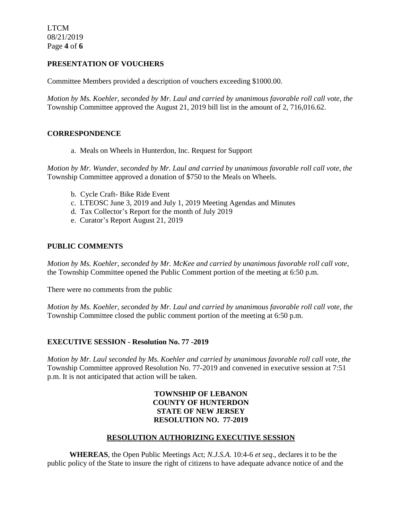LTCM 08/21/2019 Page **4** of **6**

## **PRESENTATION OF VOUCHERS**

Committee Members provided a description of vouchers exceeding \$1000.00.

*Motion by Ms. Koehler, seconded by Mr. Laul and carried by unanimous favorable roll call vote, the* Township Committee approved the August 21, 2019 bill list in the amount of 2, 716,016.62.

## **CORRESPONDENCE**

a. Meals on Wheels in Hunterdon, Inc. Request for Support

*Motion by Mr. Wunder, seconded by Mr. Laul and carried by unanimous favorable roll call vote, the* Township Committee approved a donation of \$750 to the Meals on Wheels.

- b. Cycle Craft- Bike Ride Event
- c. LTEOSC June 3, 2019 and July 1, 2019 Meeting Agendas and Minutes
- d. Tax Collector's Report for the month of July 2019
- e. Curator's Report August 21, 2019

## **PUBLIC COMMENTS**

*Motion by Ms. Koehler, seconded by Mr. McKee and carried by unanimous favorable roll call vote,* the Township Committee opened the Public Comment portion of the meeting at 6:50 p.m.

There were no comments from the public

*Motion by Ms. Koehler, seconded by Mr. Laul and carried by unanimous favorable roll call vote, the* Township Committee closed the public comment portion of the meeting at 6:50 p.m.

## **EXECUTIVE SESSION - Resolution No. 77 -2019**

*Motion by Mr. Laul seconded by Ms. Koehler and carried by unanimous favorable roll call vote, the* Township Committee approved Resolution No. 77-2019 and convened in executive session at 7:51 p.m. It is not anticipated that action will be taken.

## **TOWNSHIP OF LEBANON COUNTY OF HUNTERDON STATE OF NEW JERSEY RESOLUTION NO. 77-2019**

## **RESOLUTION AUTHORIZING EXECUTIVE SESSION**

**WHEREAS**, the Open Public Meetings Act; *N.J.S.A.* 10:4-6 *et seq*., declares it to be the public policy of the State to insure the right of citizens to have adequate advance notice of and the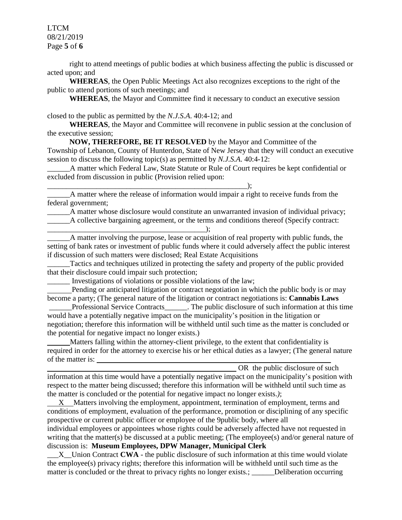LTCM 08/21/2019 Page **5** of **6**

right to attend meetings of public bodies at which business affecting the public is discussed or acted upon; and

**WHEREAS**, the Open Public Meetings Act also recognizes exceptions to the right of the public to attend portions of such meetings; and

**WHEREAS**, the Mayor and Committee find it necessary to conduct an executive session

closed to the public as permitted by the *N.J.S.A*. 40:4-12; and

**WHEREAS**, the Mayor and Committee will reconvene in public session at the conclusion of the executive session;

**NOW, THEREFORE, BE IT RESOLVED** by the Mayor and Committee of the Township of Lebanon, County of Hunterdon, State of New Jersey that they will conduct an executive session to discuss the following topic(s) as permitted by *N.J.S.A*. 40:4-12:

\_\_\_\_\_\_A matter which Federal Law, State Statute or Rule of Court requires be kept confidential or excluded from discussion in public (Provision relied upon:

\_\_\_\_\_\_\_\_\_\_\_\_\_\_\_\_\_\_\_\_\_\_\_\_\_\_\_\_\_\_\_\_\_\_\_\_\_\_\_\_\_\_\_\_\_\_\_\_\_\_\_\_\_); A matter where the release of information would impair a right to receive funds from the federal government;

\_\_\_\_\_\_A matter whose disclosure would constitute an unwarranted invasion of individual privacy;

\_\_\_\_\_\_A collective bargaining agreement, or the terms and conditions thereof (Specify contract:

\_\_\_\_\_\_\_\_\_\_\_\_\_\_\_\_\_\_\_\_\_\_\_\_\_\_\_\_\_\_\_\_\_\_\_\_\_\_\_\_\_\_); \_\_\_\_\_\_A matter involving the purpose, lease or acquisition of real property with public funds, the setting of bank rates or investment of public funds where it could adversely affect the public interest if discussion of such matters were disclosed; Real Estate Acquisitions

Tactics and techniques utilized in protecting the safety and property of the public provided that their disclosure could impair such protection;

\_\_\_\_\_\_ Investigations of violations or possible violations of the law;

 Pending or anticipated litigation or contract negotiation in which the public body is or may become a party; (The general nature of the litigation or contract negotiations is: **Cannabis Laws**

Professional Service Contracts\_\_\_\_\_\_. The public disclosure of such information at this time would have a potentially negative impact on the municipality's position in the litigation or negotiation; therefore this information will be withheld until such time as the matter is concluded or the potential for negative impact no longer exists.)

 Matters falling within the attorney-client privilege, to the extent that confidentiality is required in order for the attorney to exercise his or her ethical duties as a lawyer; (The general nature of the matter is:

OR the public disclosure of such

information at this time would have a potentially negative impact on the municipality's position with respect to the matter being discussed; therefore this information will be withheld until such time as the matter is concluded or the potential for negative impact no longer exists.*)*;

 XMatters involving the employment, appointment, termination of employment, terms and conditions of employment, evaluation of the performance, promotion or disciplining of any specific prospective or current public officer or employee of the 9public body, where all

individual employees or appointees whose rights could be adversely affected have not requested in writing that the matter(s) be discussed at a public meeting; (The employee(s) and/or general nature of discussion is: **Museum Employees, DPW Manager, Municipal Clerk**

\_\_\_X\_\_Union Contract **CWA** - the public disclosure of such information at this time would violate the employee(s) privacy rights; therefore this information will be withheld until such time as the matter is concluded or the threat to privacy rights no longer exists.; \_\_\_\_\_\_Deliberation occurring